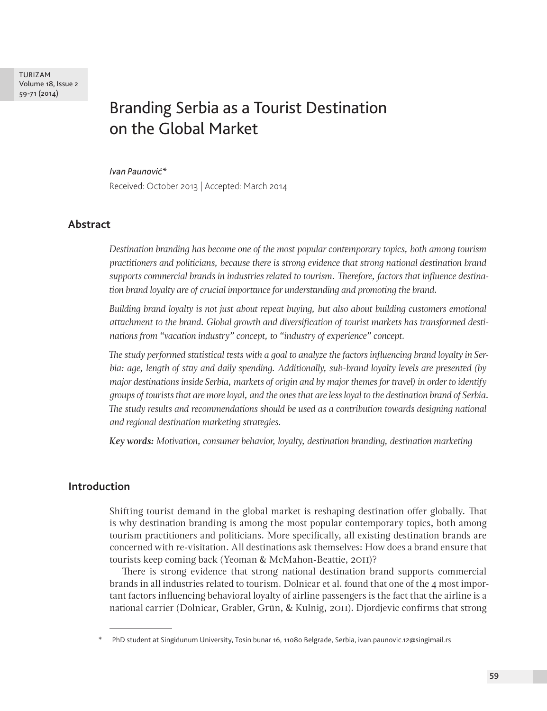TURIZAM Volume 18, Issue 2 59-71 (2014)

# Branding Serbia as a Tourist Destination on the Global Market

#### *Ivan Paunović\**

Received: October 2013 | Accepted: March 2014

# **Abstract**

*Destination branding has become one of the most popular contemporary topics, both among tourism practitioners and politicians, because there is strong evidence that strong national destination brand supports commercial brands in industries related to tourism. Therefore, factors that influence destination brand loyalty are of crucial importance for understanding and promoting the brand.* 

*Building brand loyalty is not just about repeat buying, but also about building customers emotional attachment to the brand. Global growth and diversification of tourist markets has transformed destinations from "vacation industry" concept, to "industry of experience" concept.*

*The study performed statistical tests with a goal to analyze the factors influencing brand loyalty in Serbia: age, length of stay and daily spending. Additionally, sub-brand loyalty levels are presented (by major destinations inside Serbia, markets of origin and by major themes for travel) in order to identify groups of tourists that are more loyal, and the ones that are less loyal to the destination brand of Serbia. The study results and recommendations should be used as a contribution towards designing national and regional destination marketing strategies.*

*Key words: Motivation, consumer behavior, loyalty, destination branding, destination marketing*

# **Introduction**

Shifting tourist demand in the global market is reshaping destination offer globally. That is why destination branding is among the most popular contemporary topics, both among tourism practitioners and politicians. More specifically, all existing destination brands are concerned with re-visitation. All destinations ask themselves: How does a brand ensure that tourists keep coming back (Yeoman & McMahon-Beattie, 2011)?

There is strong evidence that strong national destination brand supports commercial brands in all industries related to tourism. Dolnicar et al. found that one of the 4 most important factors influencing behavioral loyalty of airline passengers is the fact that the airline is a national carrier (Dolnicar, Grabler, Grün, & Kulnig, 2011). Djordjevic confirms that strong

PhD student at Singidunum University, Tosin bunar 16, 11080 Belgrade, Serbia, ivan.paunovic.12@singimail.rs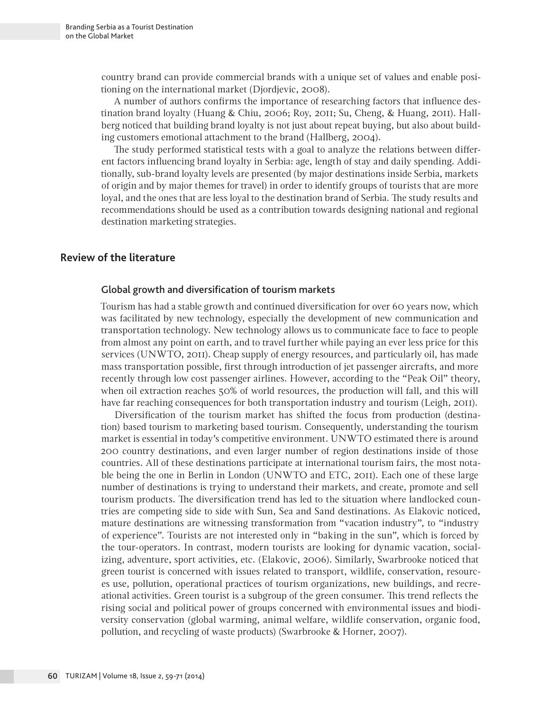country brand can provide commercial brands with a unique set of values and enable positioning on the international market (Djordjevic, 2008).

A number of authors confirms the importance of researching factors that influence destination brand loyalty (Huang & Chiu, 2006; Roy, 2011; Su, Cheng, & Huang, 2011). Hallberg noticed that building brand loyalty is not just about repeat buying, but also about building customers emotional attachment to the brand (Hallberg, 2004).

The study performed statistical tests with a goal to analyze the relations between different factors influencing brand loyalty in Serbia: age, length of stay and daily spending. Additionally, sub-brand loyalty levels are presented (by major destinations inside Serbia, markets of origin and by major themes for travel) in order to identify groups of tourists that are more loyal, and the ones that are less loyal to the destination brand of Serbia. The study results and recommendations should be used as a contribution towards designing national and regional destination marketing strategies.

# **Review of the literature**

### Global growth and diversification of tourism markets

Tourism has had a stable growth and continued diversification for over 60 years now, which was facilitated by new technology, especially the development of new communication and transportation technology. New technology allows us to communicate face to face to people from almost any point on earth, and to travel further while paying an ever less price for this services (UNWTO, 2011). Cheap supply of energy resources, and particularly oil, has made mass transportation possible, first through introduction of jet passenger aircrafts, and more recently through low cost passenger airlines. However, according to the "Peak Oil" theory, when oil extraction reaches 50% of world resources, the production will fall, and this will have far reaching consequences for both transportation industry and tourism (Leigh, 2011).

Diversification of the tourism market has shifted the focus from production (destination) based tourism to marketing based tourism. Consequently, understanding the tourism market is essential in today's competitive environment. UNWTO estimated there is around 200 country destinations, and even larger number of region destinations inside of those countries. All of these destinations participate at international tourism fairs, the most notable being the one in Berlin in London (UNWTO and ETC, 2011). Each one of these large number of destinations is trying to understand their markets, and create, promote and sell tourism products. The diversification trend has led to the situation where landlocked countries are competing side to side with Sun, Sea and Sand destinations. As Elakovic noticed, mature destinations are witnessing transformation from "vacation industry", to "industry of experience". Tourists are not interested only in "baking in the sun", which is forced by the tour-operators. In contrast, modern tourists are looking for dynamic vacation, socializing, adventure, sport activities, etc. (Elakovic, 2006). Similarly, Swarbrooke noticed that green tourist is concerned with issues related to transport, wildlife, conservation, resources use, pollution, operational practices of tourism organizations, new buildings, and recreational activities. Green tourist is a subgroup of the green consumer. This trend reflects the rising social and political power of groups concerned with environmental issues and biodiversity conservation (global warming, animal welfare, wildlife conservation, organic food, pollution, and recycling of waste products) (Swarbrooke & Horner, 2007).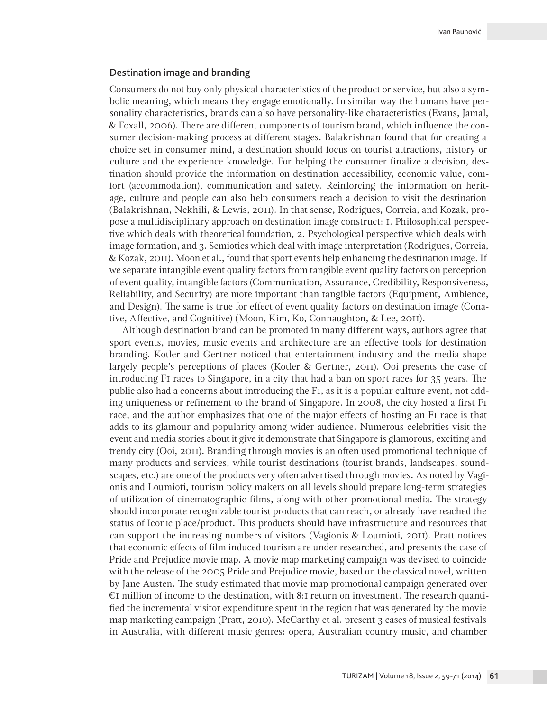#### Destination image and branding

Consumers do not buy only physical characteristics of the product or service, but also a symbolic meaning, which means they engage emotionally. In similar way the humans have personality characteristics, brands can also have personality-like characteristics (Evans, Jamal, & Foxall, 2006). There are different components of tourism brand, which influence the consumer decision-making process at different stages. Balakrishnan found that for creating a choice set in consumer mind, a destination should focus on tourist attractions, history or culture and the experience knowledge. For helping the consumer finalize a decision, destination should provide the information on destination accessibility, economic value, comfort (accommodation), communication and safety. Reinforcing the information on heritage, culture and people can also help consumers reach a decision to visit the destination (Balakrishnan, Nekhili, & Lewis, 2011). In that sense, Rodrigues, Correia, and Kozak, propose a multidisciplinary approach on destination image construct: 1. Philosophical perspective which deals with theoretical foundation, 2. Psychological perspective which deals with image formation, and 3. Semiotics which deal with image interpretation (Rodrigues, Correia, & Kozak, 2011). Moon et al., found that sport events help enhancing the destination image. If we separate intangible event quality factors from tangible event quality factors on perception of event quality, intangible factors (Communication, Assurance, Credibility, Responsiveness, Reliability, and Security) are more important than tangible factors (Equipment, Ambience, and Design). The same is true for effect of event quality factors on destination image (Conative, Affective, and Cognitive) (Moon, Kim, Ko, Connaughton, & Lee, 2011).

Although destination brand can be promoted in many different ways, authors agree that sport events, movies, music events and architecture are an effective tools for destination branding. Kotler and Gertner noticed that entertainment industry and the media shape largely people's perceptions of places (Kotler & Gertner, 2011). Ooi presents the case of introducing F1 races to Singapore, in a city that had a ban on sport races for 35 years. The public also had a concerns about introducing the F1, as it is a popular culture event, not adding uniqueness or refinement to the brand of Singapore. In 2008, the city hosted a first F1 race, and the author emphasizes that one of the major effects of hosting an F1 race is that adds to its glamour and popularity among wider audience. Numerous celebrities visit the event and media stories about it give it demonstrate that Singapore is glamorous, exciting and trendy city (Ooi, 2011). Branding through movies is an often used promotional technique of many products and services, while tourist destinations (tourist brands, landscapes, soundscapes, etc.) are one of the products very often advertised through movies. As noted by Vagionis and Loumioti, tourism policy makers on all levels should prepare long-term strategies of utilization of cinematographic films, along with other promotional media. The strategy should incorporate recognizable tourist products that can reach, or already have reached the status of Iconic place/product. This products should have infrastructure and resources that can support the increasing numbers of visitors (Vagionis & Loumioti, 2011). Pratt notices that economic effects of film induced tourism are under researched, and presents the case of Pride and Prejudice movie map. A movie map marketing campaign was devised to coincide with the release of the 2005 Pride and Prejudice movie, based on the classical novel, written by Jane Austen. The study estimated that movie map promotional campaign generated over  $E$ I million of income to the destination, with 8:1 return on investment. The research quantified the incremental visitor expenditure spent in the region that was generated by the movie map marketing campaign (Pratt, 2010). McCarthy et al. present 3 cases of musical festivals in Australia, with different music genres: opera, Australian country music, and chamber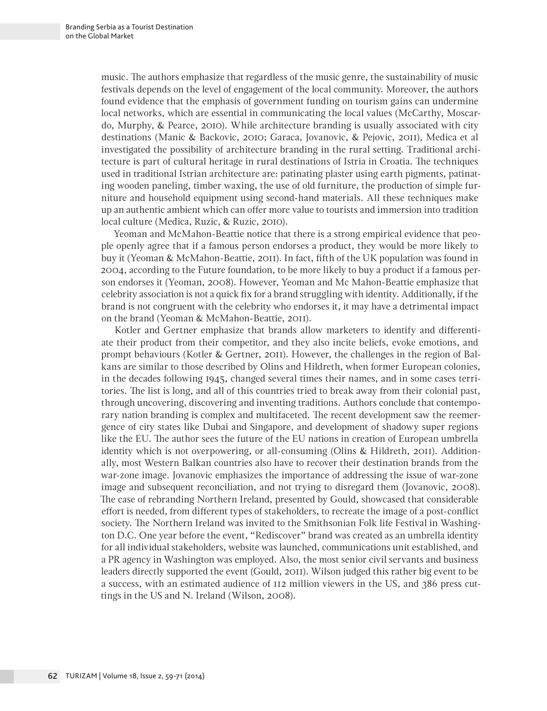music. The authors emphasize that regardless of the music genre, the sustainability of music festivals depends on the level of engagement of the local community. Moreover, the authors found evidence that the emphasis of government funding on tourism gains can undermine local networks, which are essential in communicating the local values (McCarthy, Moscardo, Murphy, & Pearce, 2010). While architecture branding is usually associated with city destinations (Manic & Backovic, 2010; Garaca, Jovanovic, & Pejovic, 2011), Medica et al investigated the possibility of architecture branding in the rural setting. Traditional architecture is part of cultural heritage in rural destinations of Istria in Croatia. The techniques used in traditional Istrian architecture are: patinating plaster using earth pigments, patinating wooden paneling, timber waxing, the use of old furniture, the production of simple furniture and household equipment using second-hand materials. All these techniques make up an authentic ambient which can offer more value to tourists and immersion into tradition local culture (Medica, Ruzic, & Ruzic, 2010).

Yeoman and McMahon-Beattie notice that there is a strong empirical evidence that people openly agree that if a famous person endorses a product, they would be more likely to buy it (Yeoman & McMahon-Beattie, 2011). In fact, fifth of the UK population was found in 2004, according to the Future foundation, to be more likely to buy a product if a famous person endorses it (Yeoman, 2008). However, Yeoman and Mc Mahon-Beattie emphasize that celebrity association is not a quick fix for a brand struggling with identity. Additionally, if the brand is not congruent with the celebrity who endorses it, it may have a detrimental impact on the brand (Yeoman & McMahon-Beattie, 2011).

Kotler and Gertner emphasize that brands allow marketers to identify and differentiate their product from their competitor, and they also incite beliefs, evoke emotions, and prompt behaviours (Kotler & Gertner, 2011). However, the challenges in the region of Balkans are similar to those described by Olins and Hildreth, when former European colonies, in the decades following 1945, changed several times their names, and in some cases territories. The list is long, and all of this countries tried to break away from their colonial past, through uncovering, discovering and inventing traditions. Authors conclude that contemporary nation branding is complex and multifaceted. The recent development saw the reemergence of city states like Dubai and Singapore, and development of shadowy super regions like the EU. The author sees the future of the EU nations in creation of European umbrella identity which is not overpowering, or all-consuming (Olins & Hildreth, 2011). Additionally, most Western Balkan countries also have to recover their destination brands from the war-zone image. Jovanovic emphasizes the importance of addressing the issue of war-zone image and subsequent reconciliation, and not trying to disregard them (Jovanovic, 2008). The case of rebranding Northern Ireland, presented by Gould, showcased that considerable effort is needed, from different types of stakeholders, to recreate the image of a post-conflict society. The Northern Ireland was invited to the Smithsonian Folk life Festival in Washington D.C. One year before the event, "Rediscover" brand was created as an umbrella identity for all individual stakeholders, website was launched, communications unit established, and a PR agency in Washington was employed. Also, the most senior civil servants and business leaders directly supported the event (Gould, 2011). Wilson judged this rather big event to be a success, with an estimated audience of 112 million viewers in the US, and 386 press cuttings in the US and N. Ireland (Wilson, 2008).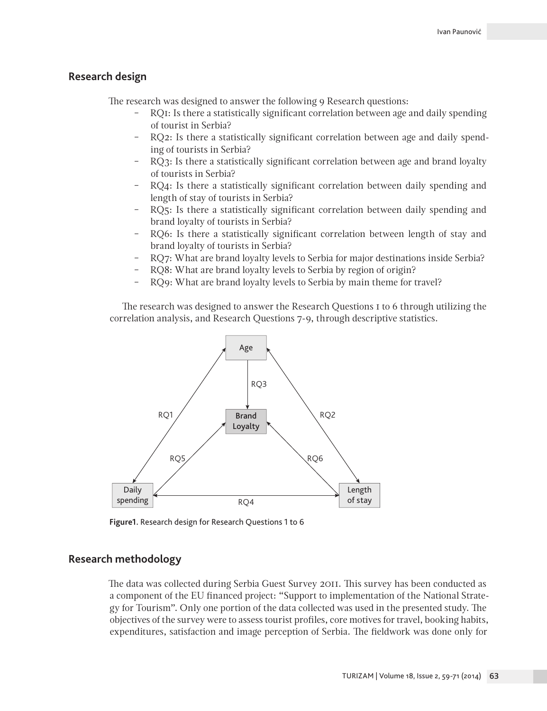# **Research design**

The research was designed to answer the following 9 Research questions:

- ‒ RQ1: Is there a statistically significant correlation between age and daily spending of tourist in Serbia?
- ‒ RQ2: Is there a statistically significant correlation between age and daily spending of tourists in Serbia?
- RQ3: Is there a statistically significant correlation between age and brand loyalty of tourists in Serbia?
- ‒ RQ4: Is there a statistically significant correlation between daily spending and length of stay of tourists in Serbia?
- ‒ RQ5: Is there a statistically significant correlation between daily spending and brand loyalty of tourists in Serbia?
- ‒ RQ6: Is there a statistically significant correlation between length of stay and brand loyalty of tourists in Serbia?
- ‒ RQ7: What are brand loyalty levels to Serbia for major destinations inside Serbia?
- RQ8: What are brand loyalty levels to Serbia by region of origin?
- ‒ RQ9: What are brand loyalty levels to Serbia by main theme for travel?

The research was designed to answer the Research Questions 1 to 6 through utilizing the correlation analysis, and Research Questions 7-9, through descriptive statistics.



**Figure1.** Research design for Research Questions 1 to 6

## **Research methodology**

The data was collected during Serbia Guest Survey 2011. This survey has been conducted as a component of the EU financed project: "Support to implementation of the National Strategy for Tourism". Only one portion of the data collected was used in the presented study. The objectives of the survey were to assess tourist profiles, core motives for travel, booking habits, expenditures, satisfaction and image perception of Serbia. The fieldwork was done only for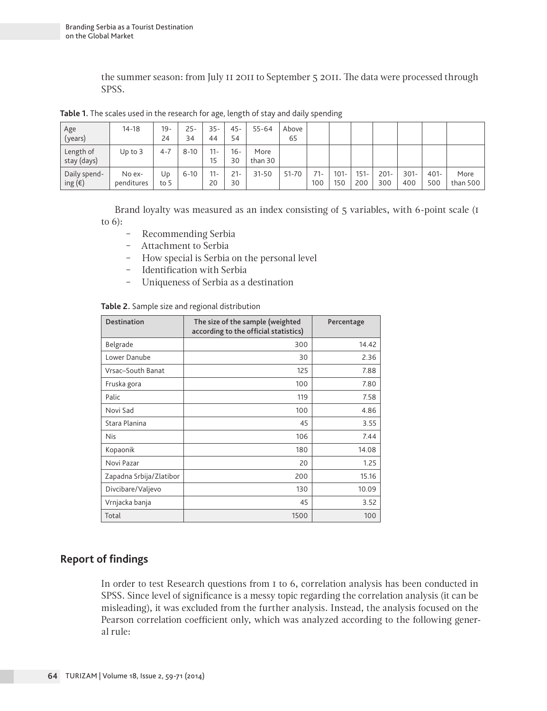the summer season: from July 11 2011 to September 5 2011. The data were processed through SPSS.

| Age<br>(years)                   | $14 - 18$            | $19 -$<br>24 | $25-$<br>34 | $35 -$<br>44 | $45 -$<br>54 | $55 - 64$       | Above<br>65 |              |                |                |                |                |                |                  |
|----------------------------------|----------------------|--------------|-------------|--------------|--------------|-----------------|-------------|--------------|----------------|----------------|----------------|----------------|----------------|------------------|
| Length of<br>stay (days)         | Up to $3$            | $4 - 7$      | $8 - 10$    | $11 -$<br>15 | $16-$<br>30  | More<br>than 30 |             |              |                |                |                |                |                |                  |
| Daily spend-<br>ing $(\epsilon)$ | No ex-<br>penditures | Ud<br>to 5   | $6 - 10$    | $11 -$<br>20 | $21 -$<br>30 | $31 - 50$       | 51-70       | $71-$<br>100 | $101 -$<br>150 | $151 -$<br>200 | $201 -$<br>300 | $301 -$<br>400 | $401 -$<br>500 | More<br>than 500 |

**Table 1.** The scales used in the research for age, length of stay and daily spending

Brand loyalty was measured as an index consisting of 5 variables, with 6-point scale (1 to 6):

- ‒ Recommending Serbia
- ‒ Attachment to Serbia
- ‒ How special is Serbia on the personal level
- ‒ Identification with Serbia
- ‒ Uniqueness of Serbia as a destination

|  |  |  |  |  | Table 2. Sample size and regional distribution |
|--|--|--|--|--|------------------------------------------------|
|--|--|--|--|--|------------------------------------------------|

| <b>Destination</b>      | The size of the sample (weighted<br>according to the official statistics) | Percentage |
|-------------------------|---------------------------------------------------------------------------|------------|
| Belgrade                | 300                                                                       | 14.42      |
| Lower Danube            | 30                                                                        | 2.36       |
| Vrsac-South Banat       | 125                                                                       | 7.88       |
| Fruska gora             | 100                                                                       | 7.80       |
| Palic                   | 119                                                                       | 7.58       |
| Novi Sad                | 100                                                                       | 4.86       |
| Stara Planina           | 45                                                                        | 3.55       |
| <b>Nis</b>              | 106                                                                       | 7.44       |
| Kopaonik                | 180                                                                       | 14.08      |
| Novi Pazar              | 20                                                                        | 1.25       |
| Zapadna Srbija/Zlatibor | 200                                                                       | 15.16      |
| Divcibare/Valjevo       | 130                                                                       | 10.09      |
| Vrnjacka banja          | 45                                                                        | 3.52       |
| Total                   | 1500                                                                      | 100        |

# **Report of findings**

In order to test Research questions from 1 to 6, correlation analysis has been conducted in SPSS. Since level of significance is a messy topic regarding the correlation analysis (it can be misleading), it was excluded from the further analysis. Instead, the analysis focused on the Pearson correlation coefficient only, which was analyzed according to the following general rule: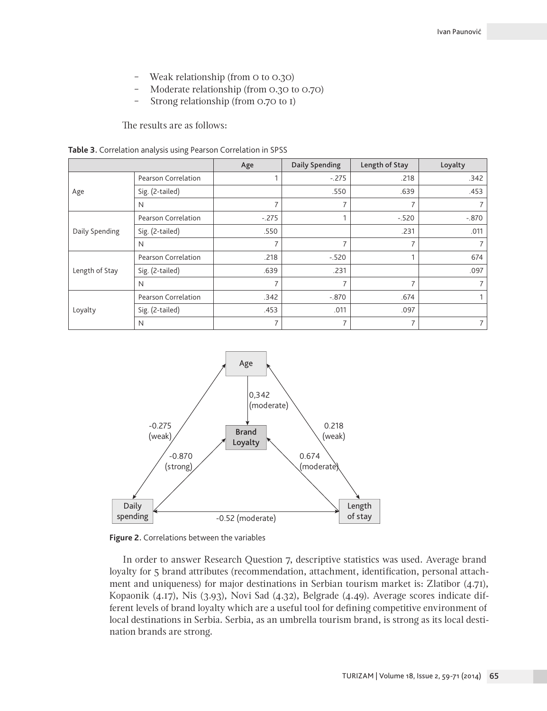- ‒ Weak relationship (from 0 to 0.30)
- ‒ Moderate relationship (from 0.30 to 0.70)
- Strong relationship (from 0.70 to I)

The results are as follows:

| Table 3. Correlation analysis using Pearson Correlation in SPSS |  |  |  |  |  |
|-----------------------------------------------------------------|--|--|--|--|--|
|-----------------------------------------------------------------|--|--|--|--|--|

|                |                     | Age            | Daily Spending | Length of Stay | Loyalty |
|----------------|---------------------|----------------|----------------|----------------|---------|
|                | Pearson Correlation |                | $-.275$        | .218           | .342    |
| Age            | Sig. (2-tailed)     |                | .550           | .639           | .453    |
|                | N                   | 7              | 7              |                |         |
| Daily Spending | Pearson Correlation | $-.275$        |                | $-.520$        | $-.870$ |
|                | Sig. (2-tailed)     | .550           |                | .231           | .011    |
|                | N                   | $\overline{7}$ |                |                |         |
|                | Pearson Correlation | .218           | $-.520$        |                | 674     |
| Length of Stay | Sig. (2-tailed)     | .639           | .231           |                | .097    |
|                | N                   | $\overline{ }$ | 7              | $\overline{ }$ |         |
| Loyalty        | Pearson Correlation | .342           | $-.870$        | .674           |         |
|                | Sig. (2-tailed)     | .453           | .011           | .097           |         |
|                | N                   | $\overline{7}$ | 7              | $\overline{7}$ |         |



**Figure 2.** Correlations between the variables

In order to answer Research Question 7, descriptive statistics was used. Average brand loyalty for 5 brand attributes (recommendation, attachment, identification, personal attachment and uniqueness) for major destinations in Serbian tourism market is: Zlatibor (4.71), Kopaonik (4.17), Nis (3.93), Novi Sad (4.32), Belgrade (4.49). Average scores indicate different levels of brand loyalty which are a useful tool for defining competitive environment of local destinations in Serbia. Serbia, as an umbrella tourism brand, is strong as its local destination brands are strong.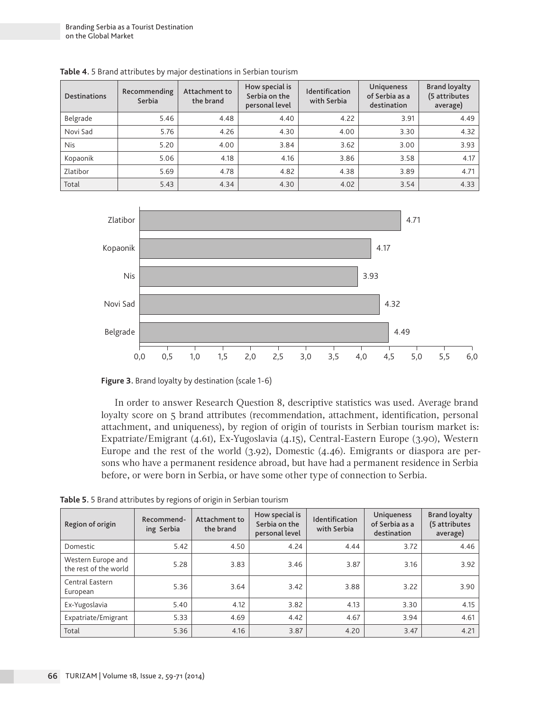| <b>Destinations</b> | Recommending<br>Serbia | Attachment to<br>the brand | How special is<br>Serbia on the<br>personal level | <b>Identification</b><br>with Serbia | <b>Uniqueness</b><br>of Serbia as a<br>destination | <b>Brand loyalty</b><br>(5 attributes<br>average) |
|---------------------|------------------------|----------------------------|---------------------------------------------------|--------------------------------------|----------------------------------------------------|---------------------------------------------------|
| Belgrade            | 5.46                   | 4.48                       | 4.40                                              | 4.22                                 | 3.91                                               | 4.49                                              |
| Novi Sad            | 5.76                   | 4.26                       | 4.30                                              | 4.00                                 | 3.30                                               | 4.32                                              |
| <b>Nis</b>          | 5.20                   | 4.00                       | 3.84                                              | 3.62                                 | 3.00                                               | 3.93                                              |
| Kopaonik            | 5.06                   | 4.18                       | 4.16                                              | 3.86                                 | 3.58                                               | 4.17                                              |
| Zlatibor            | 5.69                   | 4.78                       | 4.82                                              | 4.38                                 | 3.89                                               | 4.71                                              |
| Total               | 5.43                   | 4.34                       | 4.30                                              | 4.02                                 | 3.54                                               | 4.33                                              |

**Table 4.** 5 Brand attributes by major destinations in Serbian tourism



**Figure 3.** Brand loyalty by destination (scale 1-6)

In order to answer Research Question 8, descriptive statistics was used. Average brand loyalty score on 5 brand attributes (recommendation, attachment, identification, personal attachment, and uniqueness), by region of origin of tourists in Serbian tourism market is: Expatriate/Emigrant (4.61), Ex-Yugoslavia (4.15), Central-Eastern Europe (3.90), Western Europe and the rest of the world (3.92), Domestic (4.46). Emigrants or diaspora are persons who have a permanent residence abroad, but have had a permanent residence in Serbia before, or were born in Serbia, or have some other type of connection to Serbia.

| Region of origin                            | Recommend-<br>ing Serbia | Attachment to<br>the brand | How special is<br>Serbia on the<br>personal level | <b>Identification</b><br>with Serbia | <b>Uniqueness</b><br>of Serbia as a<br>destination | <b>Brand loyalty</b><br>(5 attributes<br>average) |
|---------------------------------------------|--------------------------|----------------------------|---------------------------------------------------|--------------------------------------|----------------------------------------------------|---------------------------------------------------|
| Domestic                                    | 5.42                     | 4.50                       | 4.24                                              | 4.44                                 | 3.72                                               | 4.46                                              |
| Western Europe and<br>the rest of the world | 5.28                     | 3.83                       | 3.46                                              | 3.87                                 | 3.16                                               | 3.92                                              |
| Central Eastern<br>European                 | 5.36                     | 3.64                       | 3.42                                              | 3.88                                 | 3.22                                               | 3.90                                              |
| Ex-Yugoslavia                               | 5.40                     | 4.12                       | 3.82                                              | 4.13                                 | 3.30                                               | 4.15                                              |
| Expatriate/Emigrant                         | 5.33                     | 4.69                       | 4.42                                              | 4.67                                 | 3.94                                               | 4.61                                              |
| Total                                       | 5.36                     | 4.16                       | 3.87                                              | 4.20                                 | 3.47                                               | 4.21                                              |

**Table 5.** 5 Brand attributes by regions of origin in Serbian tourism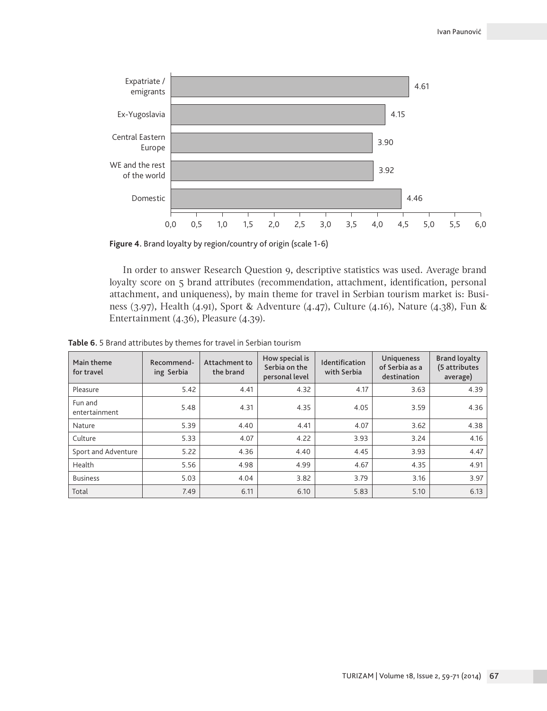

**Figure 4.** Brand loyalty by region/country of origin (scale 1-6)

In order to answer Research Question 9, descriptive statistics was used. Average brand loyalty score on 5 brand attributes (recommendation, attachment, identification, personal attachment, and uniqueness), by main theme for travel in Serbian tourism market is: Business (3.97), Health (4.91), Sport & Adventure (4.47), Culture (4.16), Nature (4.38), Fun & Entertainment (4.36), Pleasure (4.39).

**Table 6.** 5 Brand attributes by themes for travel in Serbian tourism

| Main theme<br>for travel | Recommend-<br>ing Serbia | Attachment to<br>the brand | How special is<br>Serbia on the<br>personal level | <b>Identification</b><br>with Serbia | Uniqueness<br>of Serbia as a<br>destination | <b>Brand loyalty</b><br>(5 attributes<br>average) |
|--------------------------|--------------------------|----------------------------|---------------------------------------------------|--------------------------------------|---------------------------------------------|---------------------------------------------------|
| Pleasure                 | 5.42                     | 4.41                       | 4.32                                              | 4.17                                 | 3.63                                        | 4.39                                              |
| Fun and<br>entertainment | 5.48                     | 4.31                       | 4.35                                              | 4.05                                 | 3.59                                        | 4.36                                              |
| Nature                   | 5.39                     | 4.40                       | 4.41                                              | 4.07                                 | 3.62                                        | 4.38                                              |
| Culture                  | 5.33                     | 4.07                       | 4.22                                              | 3.93                                 | 3.24                                        | 4.16                                              |
| Sport and Adventure      | 5.22                     | 4.36                       | 4.40                                              | 4.45                                 | 3.93                                        | 4.47                                              |
| Health                   | 5.56                     | 4.98                       | 4.99                                              | 4.67                                 | 4.35                                        | 4.91                                              |
| <b>Business</b>          | 5.03                     | 4.04                       | 3.82                                              | 3.79                                 | 3.16                                        | 3.97                                              |
| Total                    | 7.49                     | 6.11                       | 6.10                                              | 5.83                                 | 5.10                                        | 6.13                                              |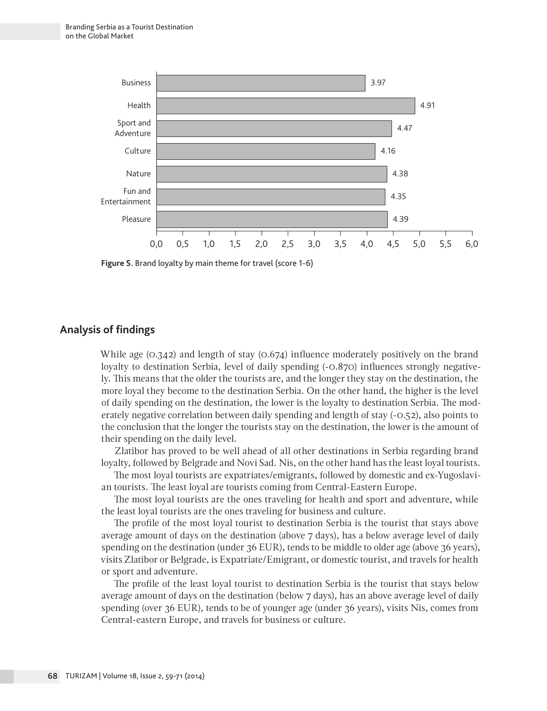

**Figure 5.** Brand loyalty by main theme for travel (score 1-6)

# **Analysis of findings**

While age (0.342) and length of stay (0.674) influence moderately positively on the brand loyalty to destination Serbia, level of daily spending  $(-0.870)$  influences strongly negatively. This means that the older the tourists are, and the longer they stay on the destination, the more loyal they become to the destination Serbia. On the other hand, the higher is the level of daily spending on the destination, the lower is the loyalty to destination Serbia. The moderately negative correlation between daily spending and length of stay (-0.52), also points to the conclusion that the longer the tourists stay on the destination, the lower is the amount of their spending on the daily level.

Zlatibor has proved to be well ahead of all other destinations in Serbia regarding brand loyalty, followed by Belgrade and Novi Sad. Nis, on the other hand has the least loyal tourists.

The most loyal tourists are expatriates/emigrants, followed by domestic and ex-Yugoslavian tourists. The least loyal are tourists coming from Central-Eastern Europe.

The most loyal tourists are the ones traveling for health and sport and adventure, while the least loyal tourists are the ones traveling for business and culture.

The profile of the most loyal tourist to destination Serbia is the tourist that stays above average amount of days on the destination (above 7 days), has a below average level of daily spending on the destination (under 36 EUR), tends to be middle to older age (above 36 years), visits Zlatibor or Belgrade, is Expatriate/Emigrant, or domestic tourist, and travels for health or sport and adventure.

The profile of the least loyal tourist to destination Serbia is the tourist that stays below average amount of days on the destination (below 7 days), has an above average level of daily spending (over 36 EUR), tends to be of younger age (under 36 years), visits Nis, comes from Central-eastern Europe, and travels for business or culture.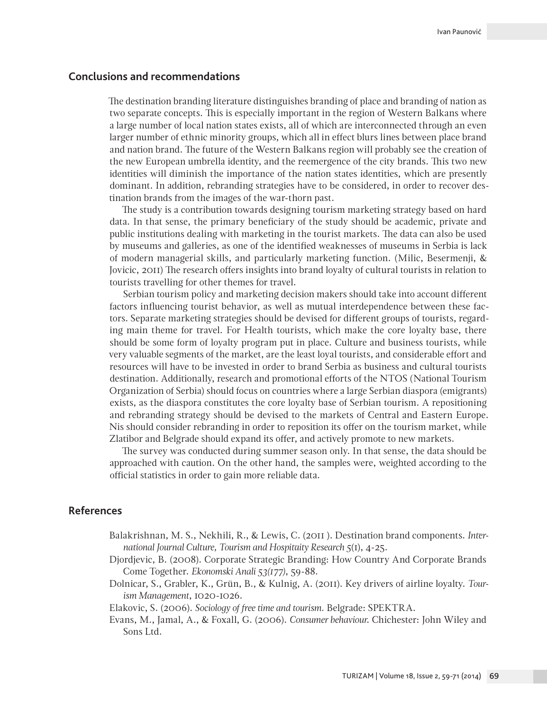## **Conclusions and recommendations**

The destination branding literature distinguishes branding of place and branding of nation as two separate concepts. This is especially important in the region of Western Balkans where a large number of local nation states exists, all of which are interconnected through an even larger number of ethnic minority groups, which all in effect blurs lines between place brand and nation brand. The future of the Western Balkans region will probably see the creation of the new European umbrella identity, and the reemergence of the city brands. This two new identities will diminish the importance of the nation states identities, which are presently dominant. In addition, rebranding strategies have to be considered, in order to recover destination brands from the images of the war-thorn past.

The study is a contribution towards designing tourism marketing strategy based on hard data. In that sense, the primary beneficiary of the study should be academic, private and public institutions dealing with marketing in the tourist markets. The data can also be used by museums and galleries, as one of the identified weaknesses of museums in Serbia is lack of modern managerial skills, and particularly marketing function. (Milic, Besermenji, & Jovicic, 2011) The research offers insights into brand loyalty of cultural tourists in relation to tourists travelling for other themes for travel.

Serbian tourism policy and marketing decision makers should take into account different factors influencing tourist behavior, as well as mutual interdependence between these factors. Separate marketing strategies should be devised for different groups of tourists, regarding main theme for travel. For Health tourists, which make the core loyalty base, there should be some form of loyalty program put in place. Culture and business tourists, while very valuable segments of the market, are the least loyal tourists, and considerable effort and resources will have to be invested in order to brand Serbia as business and cultural tourists destination. Additionally, research and promotional efforts of the NTOS (National Tourism Organization of Serbia) should focus on countries where a large Serbian diaspora (emigrants) exists, as the diaspora constitutes the core loyalty base of Serbian tourism. A repositioning and rebranding strategy should be devised to the markets of Central and Eastern Europe. Nis should consider rebranding in order to reposition its offer on the tourism market, while Zlatibor and Belgrade should expand its offer, and actively promote to new markets.

The survey was conducted during summer season only. In that sense, the data should be approached with caution. On the other hand, the samples were, weighted according to the official statistics in order to gain more reliable data.

# **References**

- Balakrishnan, M. S., Nekhili, R., & Lewis, C. (2011 ). Destination brand components. *International Journal Culture, Tourism and Hospitaity Research 5*(1), 4-25.
- Djordjevic, B. (2008). Corporate Strategic Branding: How Country And Corporate Brands Come Together. *Ekonomski Anali 53(177)*, 59-88.
- Dolnicar, S., Grabler, K., Grün, B., & Kulnig, A. (2011). Key drivers of airline loyalty. *Tourism Management*, 1020-1026.
- Elakovic, S. (2006). *Sociology of free time and tourism.* Belgrade: SPEKTRA.
- Evans, M., Jamal, A., & Foxall, G. (2006). *Consumer behaviour*. Chichester: John Wiley and Sons Ltd.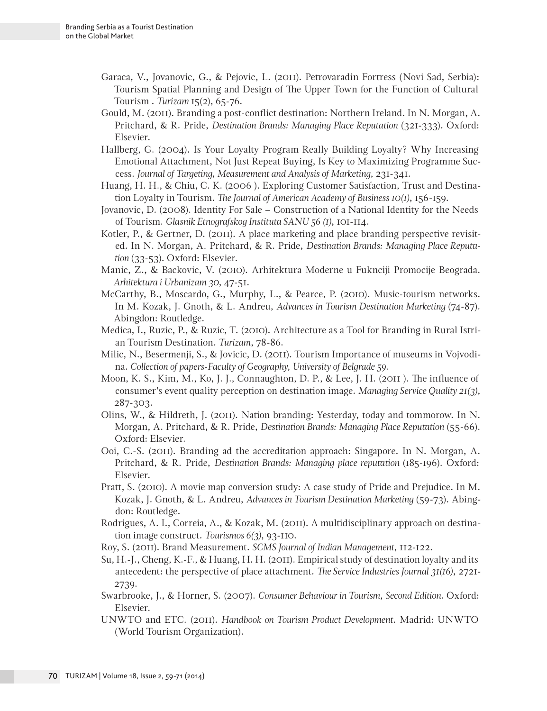- Garaca, V., Jovanovic, G., & Pejovic, L. (2011). Petrovaradin Fortress (Novi Sad, Serbia): Tourism Spatial Planning and Design of The Upper Town for the Function of Cultural Tourism . *Turizam* 15(2), 65-76.
- Gould, M. (2011). Branding a post-conflict destination: Northern Ireland. In N. Morgan, A. Pritchard, & R. Pride, *Destination Brands: Managing Place Reputation* (321-333). Oxford: Elsevier.
- Hallberg, G. (2004). Is Your Loyalty Program Really Building Loyalty? Why Increasing Emotional Attachment, Not Just Repeat Buying, Is Key to Maximizing Programme Success. *Journal of Targeting, Measurement and Analysis of Marketing*, 231-341.
- Huang, H. H., & Chiu, C. K. (2006 ). Exploring Customer Satisfaction, Trust and Destination Loyalty in Tourism. *The Journal of American Academy of Business 10(1)*, 156-159.
- Jovanovic, D. (2008). Identity For Sale Construction of a National Identity for the Needs of Tourism. *Glasnik Etnografskog Instituta SANU 56 (1)*, 101-114.
- Kotler, P., & Gertner, D. (2011). A place marketing and place branding perspective revisited. In N. Morgan, A. Pritchard, & R. Pride, *Destination Brands: Managing Place Reputation* (33-53). Oxford: Elsevier.
- Manic, Z., & Backovic, V. (2010). Arhitektura Moderne u Fuknciji Promocije Beograda. *Arhitektura i Urbanizam 30*, 47-51.
- McCarthy, B., Moscardo, G., Murphy, L., & Pearce, P. (2010). Music-tourism networks. In M. Kozak, J. Gnoth, & L. Andreu, *Advances in Tourism Destination Marketing* (74-87). Abingdon: Routledge.
- Medica, I., Ruzic, P., & Ruzic, T. (2010). Architecture as a Tool for Branding in Rural Istrian Tourism Destination. *Turizam*, 78-86.
- Milic, N., Besermenji, S., & Jovicic, D. (2011). Tourism Importance of museums in Vojvodina. *Collection of papers-Faculty of Geography, University of Belgrade 59*.
- Moon, K. S., Kim, M., Ko, J. J., Connaughton, D. P., & Lee, J. H. (2011 ). The influence of consumer's event quality perception on destination image. *Managing Service Quality 21(3)*, 287-303.
- Olins, W., & Hildreth, J. (2011). Nation branding: Yesterday, today and tommorow. In N. Morgan, A. Pritchard, & R. Pride, *Destination Brands: Managing Place Reputation* (55-66). Oxford: Elsevier.
- Ooi, C.-S. (2011). Branding ad the accreditation approach: Singapore. In N. Morgan, A. Pritchard, & R. Pride, *Destination Brands: Managing place reputation* (185-196). Oxford: Elsevier.
- Pratt, S. (2010). A movie map conversion study: A case study of Pride and Prejudice. In M. Kozak, J. Gnoth, & L. Andreu, *Advances in Tourism Destination Marketing* (59-73). Abingdon: Routledge.
- Rodrigues, A. I., Correia, A., & Kozak, M. (2011). A multidisciplinary approach on destination image construct. *Tourismos 6(3)*, 93-110.
- Roy, S. (2011). Brand Measurement. *SCMS Journal of Indian Management*, 112-122.
- Su, H.-J., Cheng, K.-F., & Huang, H. H. (2011). Empirical study of destination loyalty and its antecedent: the perspective of place attachment. *The Service Industries Journal 31(16)*, 2721- 2739.
- Swarbrooke, J., & Horner, S. (2007). *Consumer Behaviour in Tourism, Second Edition.* Oxford: Elsevier.
- UNWTO and ETC. (2011). *Handbook on Tourism Product Development*. Madrid: UNWTO (World Tourism Organization).